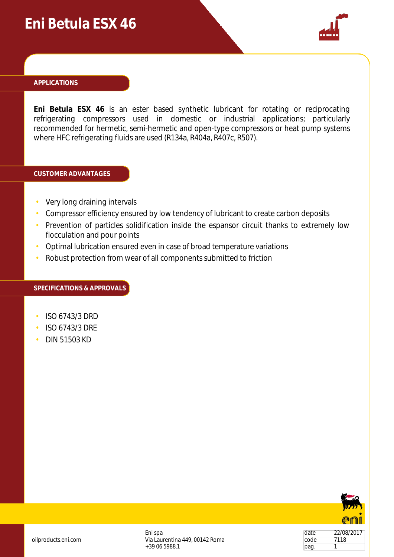## **Eni Betula ESX 46**



#### **APPLICATIONS**

**Eni Betula ESX 46** is an ester based synthetic lubricant for rotating or reciprocating refrigerating compressors used in domestic or industrial applications; particularly recommended for hermetic, semi-hermetic and open-type compressors or heat pump systems where HFC refrigerating fluids are used (R134a, R404a, R407c, R507).

#### **CUSTOMER ADVANTAGES**

- Very long draining intervals
- Compressor efficiency ensured by low tendency of lubricant to create carbon deposits
- Prevention of particles solidification inside the espansor circuit thanks to extremely low flocculation and pour points
- Optimal lubrication ensured even in case of broad temperature variations
- Robust protection from wear of all components submitted to friction

#### **SPECIFICATIONS & APPROVALS**

- ISO 6743/3 DRD
- ISO 6743/3 DRE
- DIN 51503 KD



oilproducts.eni.com

Eni spa Via Laurentina 449, 00142 Roma +39 06 5988.1

| date | 22/08/2017 |
|------|------------|
| code | 7118       |
| pag. |            |